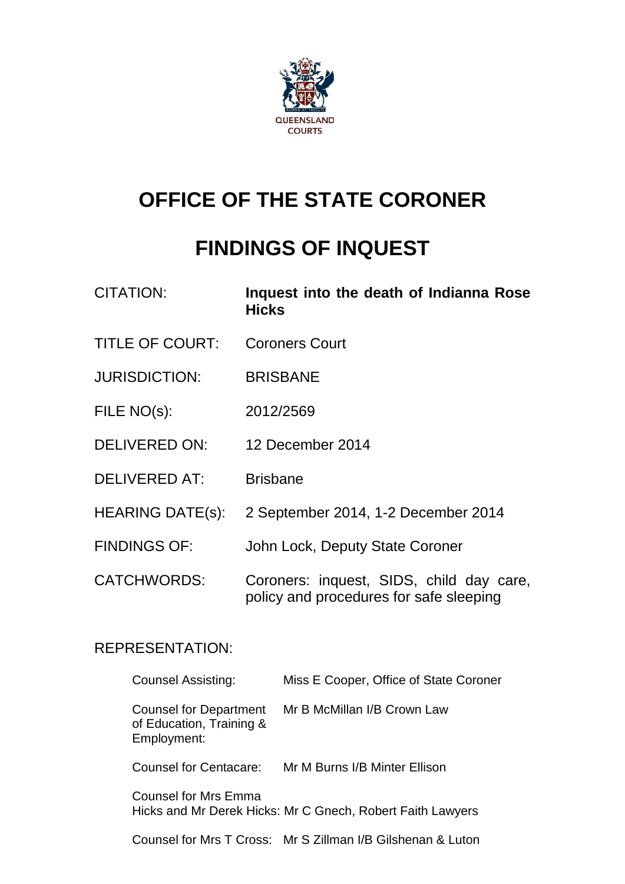

# **OFFICE OF THE STATE CORONER**

## **FINDINGS OF INQUEST**

| <b>CITATION:</b>        | Inquest into the death of Indianna Rose<br><b>Hicks</b>                             |
|-------------------------|-------------------------------------------------------------------------------------|
| <b>TITLE OF COURT:</b>  | <b>Coroners Court</b>                                                               |
| <b>JURISDICTION:</b>    | <b>BRISBANE</b>                                                                     |
| FILE NO(s):             | 2012/2569                                                                           |
| <b>DELIVERED ON:</b>    | 12 December 2014                                                                    |
| <b>DELIVERED AT:</b>    | <b>Brisbane</b>                                                                     |
| <b>HEARING DATE(s):</b> | 2 September 2014, 1-2 December 2014                                                 |
| <b>FINDINGS OF:</b>     | John Lock, Deputy State Coroner                                                     |
| <b>CATCHWORDS:</b>      | Coroners: inquest, SIDS, child day care,<br>policy and procedures for safe sleeping |

## REPRESENTATION:

| <b>Counsel Assisting:</b>                                         | Miss E Cooper, Office of State Coroner                      |
|-------------------------------------------------------------------|-------------------------------------------------------------|
| Counsel for Department<br>of Education, Training &<br>Employment: | Mr B McMillan I/B Crown Law                                 |
| Counsel for Centacare:                                            | Mr M Burns I/B Minter Ellison                               |
| Counsel for Mrs Emma                                              | Hicks and Mr Derek Hicks: Mr C Gnech, Robert Faith Lawyers  |
|                                                                   | Counsel for Mrs T Cross: Mr S Zillman I/B Gilshenan & Luton |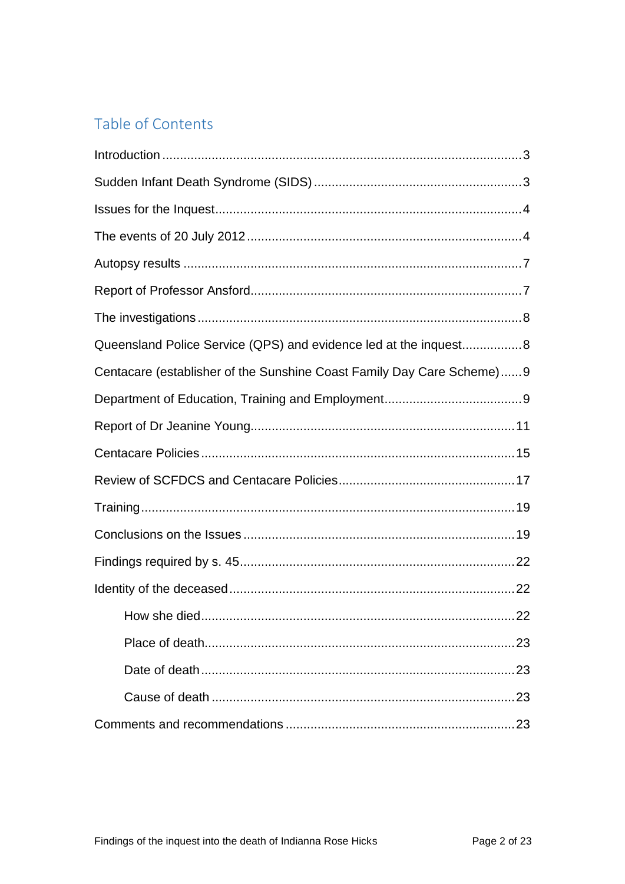## Table of Contents

| Queensland Police Service (QPS) and evidence led at the inquest8       |
|------------------------------------------------------------------------|
| Centacare (establisher of the Sunshine Coast Family Day Care Scheme) 9 |
|                                                                        |
|                                                                        |
|                                                                        |
|                                                                        |
|                                                                        |
|                                                                        |
|                                                                        |
|                                                                        |
| 22<br>How she died.                                                    |
|                                                                        |
|                                                                        |
|                                                                        |
|                                                                        |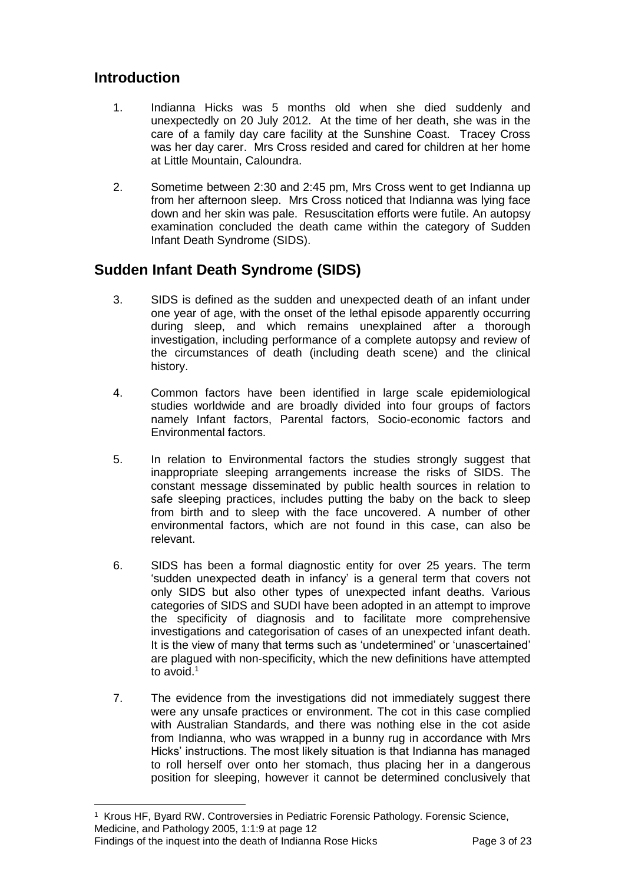## <span id="page-2-0"></span>**Introduction**

l

- 1. Indianna Hicks was 5 months old when she died suddenly and unexpectedly on 20 July 2012. At the time of her death, she was in the care of a family day care facility at the Sunshine Coast. Tracey Cross was her day carer. Mrs Cross resided and cared for children at her home at Little Mountain, Caloundra.
- 2. Sometime between 2:30 and 2:45 pm, Mrs Cross went to get Indianna up from her afternoon sleep. Mrs Cross noticed that Indianna was lying face down and her skin was pale. Resuscitation efforts were futile. An autopsy examination concluded the death came within the category of Sudden Infant Death Syndrome (SIDS).

## <span id="page-2-1"></span>**Sudden Infant Death Syndrome (SIDS)**

- 3. SIDS is defined as the sudden and unexpected death of an infant under one year of age, with the onset of the lethal episode apparently occurring during sleep, and which remains unexplained after a thorough investigation, including performance of a complete autopsy and review of the circumstances of death (including death scene) and the clinical history.
- 4. Common factors have been identified in large scale epidemiological studies worldwide and are broadly divided into four groups of factors namely Infant factors, Parental factors, Socio-economic factors and Environmental factors.
- 5. In relation to Environmental factors the studies strongly suggest that inappropriate sleeping arrangements increase the risks of SIDS. The constant message disseminated by public health sources in relation to safe sleeping practices, includes putting the baby on the back to sleep from birth and to sleep with the face uncovered. A number of other environmental factors, which are not found in this case, can also be relevant.
- 6. SIDS has been a formal diagnostic entity for over 25 years. The term 'sudden unexpected death in infancy' is a general term that covers not only SIDS but also other types of unexpected infant deaths. Various categories of SIDS and SUDI have been adopted in an attempt to improve the specificity of diagnosis and to facilitate more comprehensive investigations and categorisation of cases of an unexpected infant death. It is the view of many that terms such as 'undetermined' or 'unascertained' are plagued with non-specificity, which the new definitions have attempted to avoid.<sup>1</sup>
- 7. The evidence from the investigations did not immediately suggest there were any unsafe practices or environment. The cot in this case complied with Australian Standards, and there was nothing else in the cot aside from Indianna, who was wrapped in a bunny rug in accordance with Mrs Hicks' instructions. The most likely situation is that Indianna has managed to roll herself over onto her stomach, thus placing her in a dangerous position for sleeping, however it cannot be determined conclusively that

Findings of the inquest into the death of Indianna Rose Hicks Page 3 of 23 1 Krous HF, Byard RW. Controversies in Pediatric Forensic Pathology. Forensic Science, Medicine, and Pathology 2005, 1:1:9 at page 12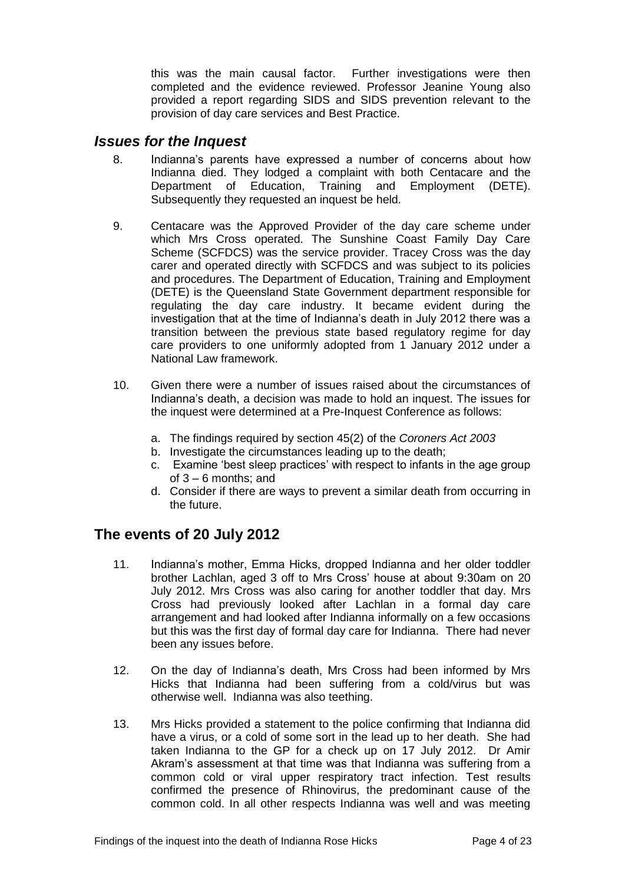this was the main causal factor. Further investigations were then completed and the evidence reviewed. Professor Jeanine Young also provided a report regarding SIDS and SIDS prevention relevant to the provision of day care services and Best Practice.

#### <span id="page-3-0"></span>*Issues for the Inquest*

- 8. Indianna's parents have expressed a number of concerns about how Indianna died. They lodged a complaint with both Centacare and the Department of Education, Training and Employment (DETE). Subsequently they requested an inquest be held.
- 9. Centacare was the Approved Provider of the day care scheme under which Mrs Cross operated. The Sunshine Coast Family Day Care Scheme (SCFDCS) was the service provider. Tracey Cross was the day carer and operated directly with SCFDCS and was subject to its policies and procedures. The Department of Education, Training and Employment (DETE) is the Queensland State Government department responsible for regulating the day care industry. It became evident during the investigation that at the time of Indianna's death in July 2012 there was a transition between the previous state based regulatory regime for day care providers to one uniformly adopted from 1 January 2012 under a National Law framework.
- 10. Given there were a number of issues raised about the circumstances of Indianna's death, a decision was made to hold an inquest. The issues for the inquest were determined at a Pre-Inquest Conference as follows:
	- a. The findings required by section 45(2) of the *Coroners Act 2003*
	- b. Investigate the circumstances leading up to the death;
	- c. Examine 'best sleep practices' with respect to infants in the age group of 3 – 6 months; and
	- d. Consider if there are ways to prevent a similar death from occurring in the future.

## <span id="page-3-1"></span>**The events of 20 July 2012**

- 11. Indianna's mother, Emma Hicks, dropped Indianna and her older toddler brother Lachlan, aged 3 off to Mrs Cross' house at about 9:30am on 20 July 2012. Mrs Cross was also caring for another toddler that day. Mrs Cross had previously looked after Lachlan in a formal day care arrangement and had looked after Indianna informally on a few occasions but this was the first day of formal day care for Indianna. There had never been any issues before.
- 12. On the day of Indianna's death, Mrs Cross had been informed by Mrs Hicks that Indianna had been suffering from a cold/virus but was otherwise well. Indianna was also teething.
- 13. Mrs Hicks provided a statement to the police confirming that Indianna did have a virus, or a cold of some sort in the lead up to her death. She had taken Indianna to the GP for a check up on 17 July 2012. Dr Amir Akram's assessment at that time was that Indianna was suffering from a common cold or viral upper respiratory tract infection. Test results confirmed the presence of Rhinovirus, the predominant cause of the common cold. In all other respects Indianna was well and was meeting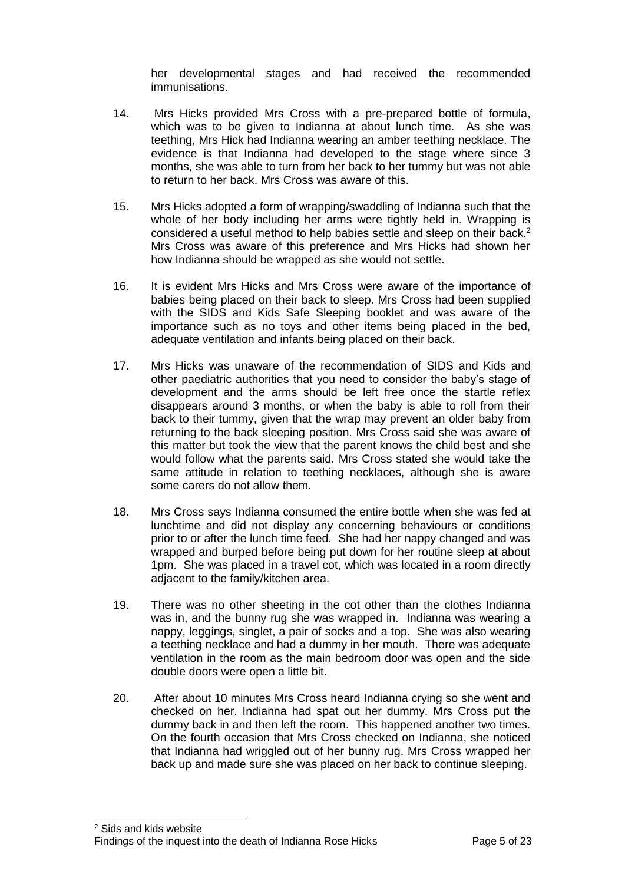her developmental stages and had received the recommended immunisations.

- 14. Mrs Hicks provided Mrs Cross with a pre-prepared bottle of formula, which was to be given to Indianna at about lunch time. As she was teething, Mrs Hick had Indianna wearing an amber teething necklace. The evidence is that Indianna had developed to the stage where since 3 months, she was able to turn from her back to her tummy but was not able to return to her back. Mrs Cross was aware of this.
- 15. Mrs Hicks adopted a form of wrapping/swaddling of Indianna such that the whole of her body including her arms were tightly held in. Wrapping is considered a useful method to help babies settle and sleep on their back.<sup>2</sup> Mrs Cross was aware of this preference and Mrs Hicks had shown her how Indianna should be wrapped as she would not settle.
- 16. It is evident Mrs Hicks and Mrs Cross were aware of the importance of babies being placed on their back to sleep. Mrs Cross had been supplied with the SIDS and Kids Safe Sleeping booklet and was aware of the importance such as no toys and other items being placed in the bed, adequate ventilation and infants being placed on their back.
- 17. Mrs Hicks was unaware of the recommendation of SIDS and Kids and other paediatric authorities that you need to consider the baby's stage of development and the arms should be left free once the startle reflex disappears around 3 months, or when the baby is able to roll from their back to their tummy, given that the wrap may prevent an older baby from returning to the back sleeping position. Mrs Cross said she was aware of this matter but took the view that the parent knows the child best and she would follow what the parents said. Mrs Cross stated she would take the same attitude in relation to teething necklaces, although she is aware some carers do not allow them.
- 18. Mrs Cross says Indianna consumed the entire bottle when she was fed at lunchtime and did not display any concerning behaviours or conditions prior to or after the lunch time feed. She had her nappy changed and was wrapped and burped before being put down for her routine sleep at about 1pm. She was placed in a travel cot, which was located in a room directly adjacent to the family/kitchen area.
- 19. There was no other sheeting in the cot other than the clothes Indianna was in, and the bunny rug she was wrapped in. Indianna was wearing a nappy, leggings, singlet, a pair of socks and a top. She was also wearing a teething necklace and had a dummy in her mouth. There was adequate ventilation in the room as the main bedroom door was open and the side double doors were open a little bit.
- 20. After about 10 minutes Mrs Cross heard Indianna crying so she went and checked on her. Indianna had spat out her dummy. Mrs Cross put the dummy back in and then left the room. This happened another two times. On the fourth occasion that Mrs Cross checked on Indianna, she noticed that Indianna had wriggled out of her bunny rug. Mrs Cross wrapped her back up and made sure she was placed on her back to continue sleeping.

 $\overline{a}$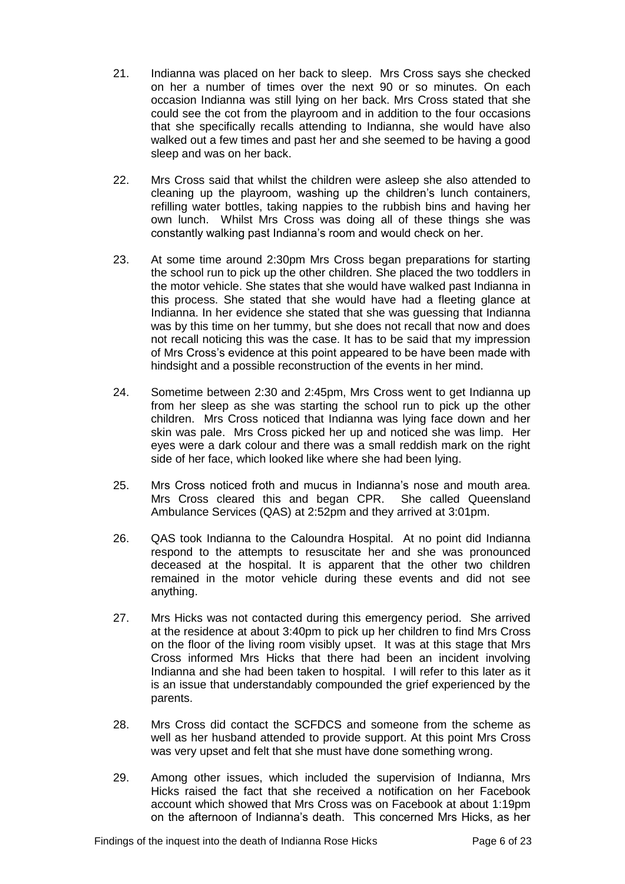- 21. Indianna was placed on her back to sleep. Mrs Cross says she checked on her a number of times over the next 90 or so minutes. On each occasion Indianna was still lying on her back. Mrs Cross stated that she could see the cot from the playroom and in addition to the four occasions that she specifically recalls attending to Indianna, she would have also walked out a few times and past her and she seemed to be having a good sleep and was on her back.
- 22. Mrs Cross said that whilst the children were asleep she also attended to cleaning up the playroom, washing up the children's lunch containers, refilling water bottles, taking nappies to the rubbish bins and having her own lunch. Whilst Mrs Cross was doing all of these things she was constantly walking past Indianna's room and would check on her.
- 23. At some time around 2:30pm Mrs Cross began preparations for starting the school run to pick up the other children. She placed the two toddlers in the motor vehicle. She states that she would have walked past Indianna in this process. She stated that she would have had a fleeting glance at Indianna. In her evidence she stated that she was guessing that Indianna was by this time on her tummy, but she does not recall that now and does not recall noticing this was the case. It has to be said that my impression of Mrs Cross's evidence at this point appeared to be have been made with hindsight and a possible reconstruction of the events in her mind.
- 24. Sometime between 2:30 and 2:45pm, Mrs Cross went to get Indianna up from her sleep as she was starting the school run to pick up the other children. Mrs Cross noticed that Indianna was lying face down and her skin was pale. Mrs Cross picked her up and noticed she was limp. Her eyes were a dark colour and there was a small reddish mark on the right side of her face, which looked like where she had been lying.
- 25. Mrs Cross noticed froth and mucus in Indianna's nose and mouth area. Mrs Cross cleared this and began CPR. She called Queensland Ambulance Services (QAS) at 2:52pm and they arrived at 3:01pm.
- 26. QAS took Indianna to the Caloundra Hospital. At no point did Indianna respond to the attempts to resuscitate her and she was pronounced deceased at the hospital. It is apparent that the other two children remained in the motor vehicle during these events and did not see anything.
- 27. Mrs Hicks was not contacted during this emergency period. She arrived at the residence at about 3:40pm to pick up her children to find Mrs Cross on the floor of the living room visibly upset. It was at this stage that Mrs Cross informed Mrs Hicks that there had been an incident involving Indianna and she had been taken to hospital. I will refer to this later as it is an issue that understandably compounded the grief experienced by the parents.
- 28. Mrs Cross did contact the SCFDCS and someone from the scheme as well as her husband attended to provide support. At this point Mrs Cross was very upset and felt that she must have done something wrong.
- 29. Among other issues, which included the supervision of Indianna, Mrs Hicks raised the fact that she received a notification on her Facebook account which showed that Mrs Cross was on Facebook at about 1:19pm on the afternoon of Indianna's death. This concerned Mrs Hicks, as her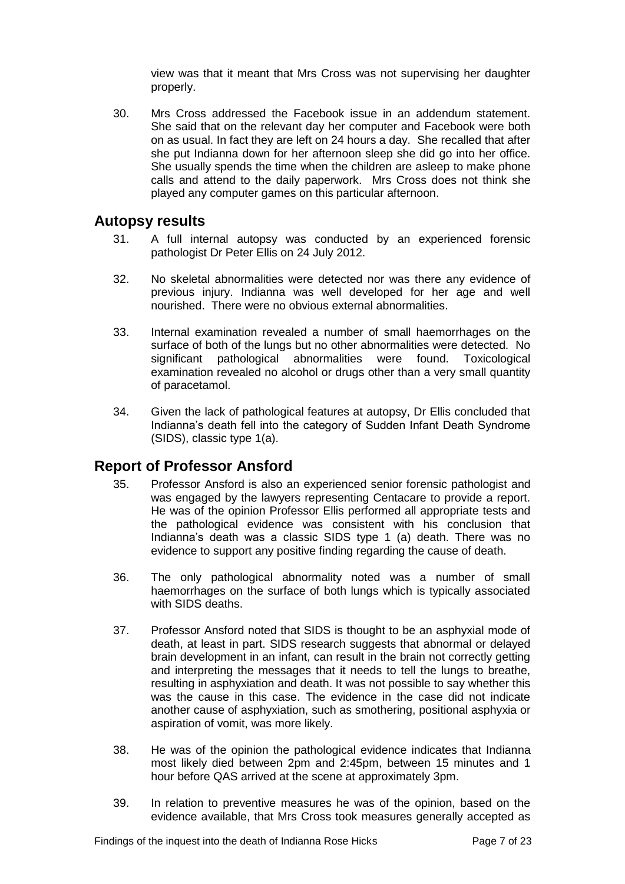view was that it meant that Mrs Cross was not supervising her daughter properly.

30. Mrs Cross addressed the Facebook issue in an addendum statement. She said that on the relevant day her computer and Facebook were both on as usual. In fact they are left on 24 hours a day. She recalled that after she put Indianna down for her afternoon sleep she did go into her office. She usually spends the time when the children are asleep to make phone calls and attend to the daily paperwork. Mrs Cross does not think she played any computer games on this particular afternoon.

#### <span id="page-6-0"></span>**Autopsy results**

- 31. A full internal autopsy was conducted by an experienced forensic pathologist Dr Peter Ellis on 24 July 2012.
- 32. No skeletal abnormalities were detected nor was there any evidence of previous injury. Indianna was well developed for her age and well nourished. There were no obvious external abnormalities.
- 33. Internal examination revealed a number of small haemorrhages on the surface of both of the lungs but no other abnormalities were detected. No significant pathological abnormalities were found. Toxicological examination revealed no alcohol or drugs other than a very small quantity of paracetamol.
- 34. Given the lack of pathological features at autopsy, Dr Ellis concluded that Indianna's death fell into the category of Sudden Infant Death Syndrome (SIDS), classic type 1(a).

#### <span id="page-6-1"></span>**Report of Professor Ansford**

- 35. Professor Ansford is also an experienced senior forensic pathologist and was engaged by the lawyers representing Centacare to provide a report. He was of the opinion Professor Ellis performed all appropriate tests and the pathological evidence was consistent with his conclusion that Indianna's death was a classic SIDS type 1 (a) death. There was no evidence to support any positive finding regarding the cause of death.
- 36. The only pathological abnormality noted was a number of small haemorrhages on the surface of both lungs which is typically associated with SIDS deaths.
- 37. Professor Ansford noted that SIDS is thought to be an asphyxial mode of death, at least in part. SIDS research suggests that abnormal or delayed brain development in an infant, can result in the brain not correctly getting and interpreting the messages that it needs to tell the lungs to breathe, resulting in asphyxiation and death. It was not possible to say whether this was the cause in this case. The evidence in the case did not indicate another cause of asphyxiation, such as smothering, positional asphyxia or aspiration of vomit, was more likely.
- 38. He was of the opinion the pathological evidence indicates that Indianna most likely died between 2pm and 2:45pm, between 15 minutes and 1 hour before QAS arrived at the scene at approximately 3pm.
- 39. In relation to preventive measures he was of the opinion, based on the evidence available, that Mrs Cross took measures generally accepted as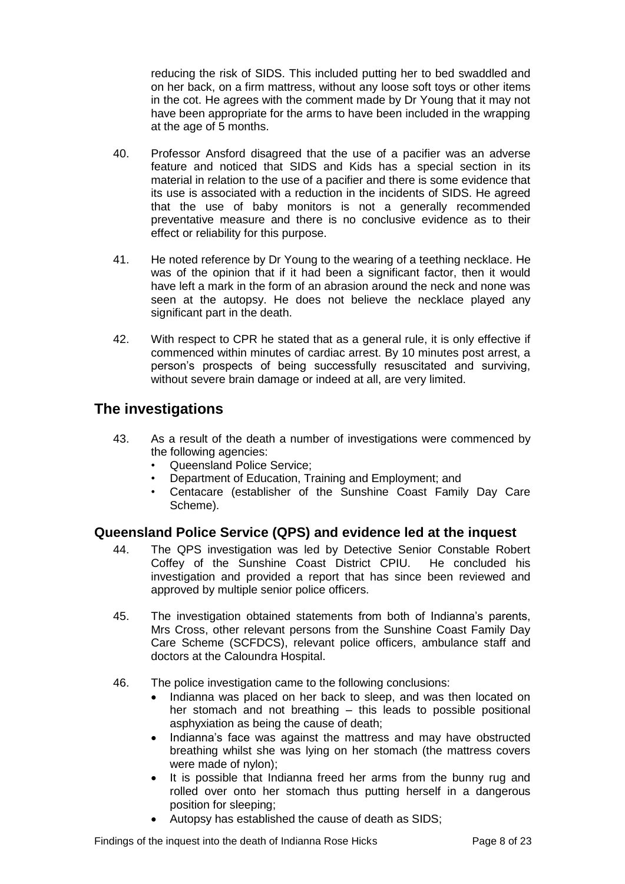reducing the risk of SIDS. This included putting her to bed swaddled and on her back, on a firm mattress, without any loose soft toys or other items in the cot. He agrees with the comment made by Dr Young that it may not have been appropriate for the arms to have been included in the wrapping at the age of 5 months.

- 40. Professor Ansford disagreed that the use of a pacifier was an adverse feature and noticed that SIDS and Kids has a special section in its material in relation to the use of a pacifier and there is some evidence that its use is associated with a reduction in the incidents of SIDS. He agreed that the use of baby monitors is not a generally recommended preventative measure and there is no conclusive evidence as to their effect or reliability for this purpose.
- 41. He noted reference by Dr Young to the wearing of a teething necklace. He was of the opinion that if it had been a significant factor, then it would have left a mark in the form of an abrasion around the neck and none was seen at the autopsy. He does not believe the necklace played any significant part in the death.
- 42. With respect to CPR he stated that as a general rule, it is only effective if commenced within minutes of cardiac arrest. By 10 minutes post arrest, a person's prospects of being successfully resuscitated and surviving, without severe brain damage or indeed at all, are very limited.

### <span id="page-7-0"></span>**The investigations**

- 43. As a result of the death a number of investigations were commenced by the following agencies:
	- Queensland Police Service;
	- Department of Education, Training and Employment; and
	- Centacare (establisher of the Sunshine Coast Family Day Care Scheme).

#### <span id="page-7-1"></span>**Queensland Police Service (QPS) and evidence led at the inquest**

- 44. The QPS investigation was led by Detective Senior Constable Robert Coffey of the Sunshine Coast District CPIU. He concluded his investigation and provided a report that has since been reviewed and approved by multiple senior police officers.
- 45. The investigation obtained statements from both of Indianna's parents, Mrs Cross, other relevant persons from the Sunshine Coast Family Day Care Scheme (SCFDCS), relevant police officers, ambulance staff and doctors at the Caloundra Hospital.
- 46. The police investigation came to the following conclusions:
	- Indianna was placed on her back to sleep, and was then located on her stomach and not breathing – this leads to possible positional asphyxiation as being the cause of death;
	- Indianna's face was against the mattress and may have obstructed breathing whilst she was lying on her stomach (the mattress covers were made of nylon);
	- It is possible that Indianna freed her arms from the bunny rug and rolled over onto her stomach thus putting herself in a dangerous position for sleeping;
	- Autopsy has established the cause of death as SIDS;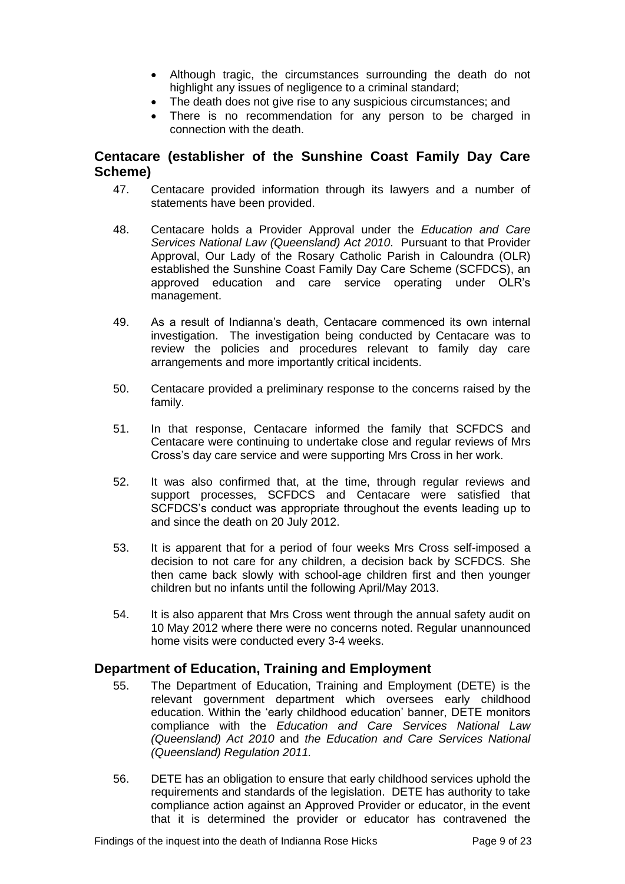- Although tragic, the circumstances surrounding the death do not highlight any issues of negligence to a criminal standard:
- The death does not give rise to any suspicious circumstances; and
- There is no recommendation for any person to be charged in connection with the death.

#### <span id="page-8-0"></span>**Centacare (establisher of the Sunshine Coast Family Day Care Scheme)**

- 47. Centacare provided information through its lawyers and a number of statements have been provided.
- 48. Centacare holds a Provider Approval under the *Education and Care Services National Law (Queensland) Act 2010*. Pursuant to that Provider Approval, Our Lady of the Rosary Catholic Parish in Caloundra (OLR) established the Sunshine Coast Family Day Care Scheme (SCFDCS), an approved education and care service operating under OLR's management.
- 49. As a result of Indianna's death, Centacare commenced its own internal investigation. The investigation being conducted by Centacare was to review the policies and procedures relevant to family day care arrangements and more importantly critical incidents.
- 50. Centacare provided a preliminary response to the concerns raised by the family.
- 51. In that response, Centacare informed the family that SCFDCS and Centacare were continuing to undertake close and regular reviews of Mrs Cross's day care service and were supporting Mrs Cross in her work.
- 52. It was also confirmed that, at the time, through regular reviews and support processes, SCFDCS and Centacare were satisfied that SCFDCS's conduct was appropriate throughout the events leading up to and since the death on 20 July 2012.
- 53. It is apparent that for a period of four weeks Mrs Cross self-imposed a decision to not care for any children, a decision back by SCFDCS. She then came back slowly with school-age children first and then younger children but no infants until the following April/May 2013.
- 54. It is also apparent that Mrs Cross went through the annual safety audit on 10 May 2012 where there were no concerns noted. Regular unannounced home visits were conducted every 3-4 weeks.

#### <span id="page-8-1"></span>**Department of Education, Training and Employment**

- 55. The Department of Education, Training and Employment (DETE) is the relevant government department which oversees early childhood education. Within the 'early childhood education' banner, DETE monitors compliance with the *Education and Care Services National Law (Queensland) Act 2010* and *the Education and Care Services National (Queensland) Regulation 2011.*
- 56. DETE has an obligation to ensure that early childhood services uphold the requirements and standards of the legislation. DETE has authority to take compliance action against an Approved Provider or educator, in the event that it is determined the provider or educator has contravened the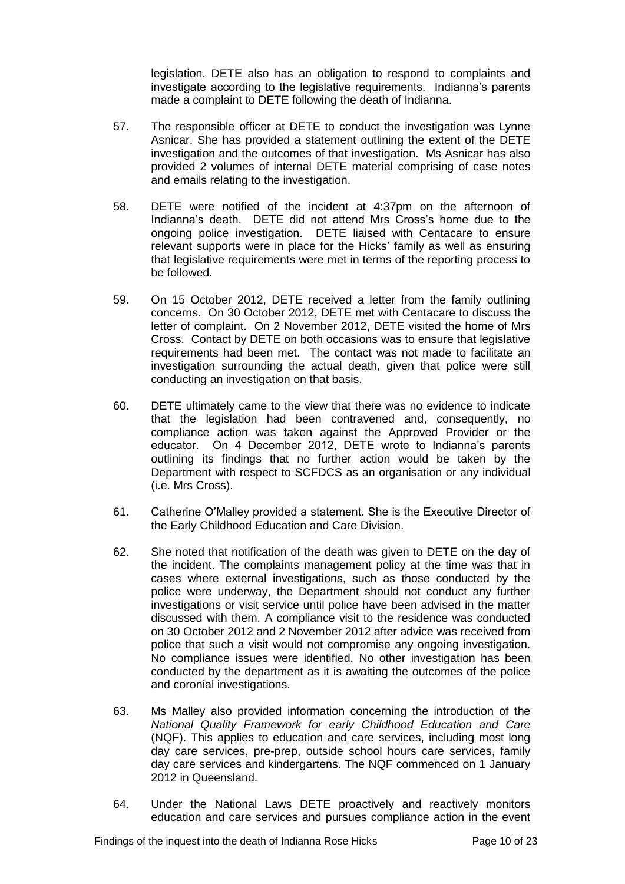legislation. DETE also has an obligation to respond to complaints and investigate according to the legislative requirements. Indianna's parents made a complaint to DETE following the death of Indianna.

- 57. The responsible officer at DETE to conduct the investigation was Lynne Asnicar. She has provided a statement outlining the extent of the DETE investigation and the outcomes of that investigation. Ms Asnicar has also provided 2 volumes of internal DETE material comprising of case notes and emails relating to the investigation.
- 58. DETE were notified of the incident at 4:37pm on the afternoon of Indianna's death. DETE did not attend Mrs Cross's home due to the ongoing police investigation. DETE liaised with Centacare to ensure relevant supports were in place for the Hicks' family as well as ensuring that legislative requirements were met in terms of the reporting process to be followed.
- 59. On 15 October 2012, DETE received a letter from the family outlining concerns. On 30 October 2012, DETE met with Centacare to discuss the letter of complaint. On 2 November 2012, DETE visited the home of Mrs Cross. Contact by DETE on both occasions was to ensure that legislative requirements had been met. The contact was not made to facilitate an investigation surrounding the actual death, given that police were still conducting an investigation on that basis.
- 60. DETE ultimately came to the view that there was no evidence to indicate that the legislation had been contravened and, consequently, no compliance action was taken against the Approved Provider or the educator. On 4 December 2012, DETE wrote to Indianna's parents outlining its findings that no further action would be taken by the Department with respect to SCFDCS as an organisation or any individual (i.e. Mrs Cross).
- 61. Catherine O'Malley provided a statement. She is the Executive Director of the Early Childhood Education and Care Division.
- 62. She noted that notification of the death was given to DETE on the day of the incident. The complaints management policy at the time was that in cases where external investigations, such as those conducted by the police were underway, the Department should not conduct any further investigations or visit service until police have been advised in the matter discussed with them. A compliance visit to the residence was conducted on 30 October 2012 and 2 November 2012 after advice was received from police that such a visit would not compromise any ongoing investigation. No compliance issues were identified. No other investigation has been conducted by the department as it is awaiting the outcomes of the police and coronial investigations.
- 63. Ms Malley also provided information concerning the introduction of the *National Quality Framework for early Childhood Education and Care* (NQF). This applies to education and care services, including most long day care services, pre-prep, outside school hours care services, family day care services and kindergartens. The NQF commenced on 1 January 2012 in Queensland.
- 64. Under the National Laws DETE proactively and reactively monitors education and care services and pursues compliance action in the event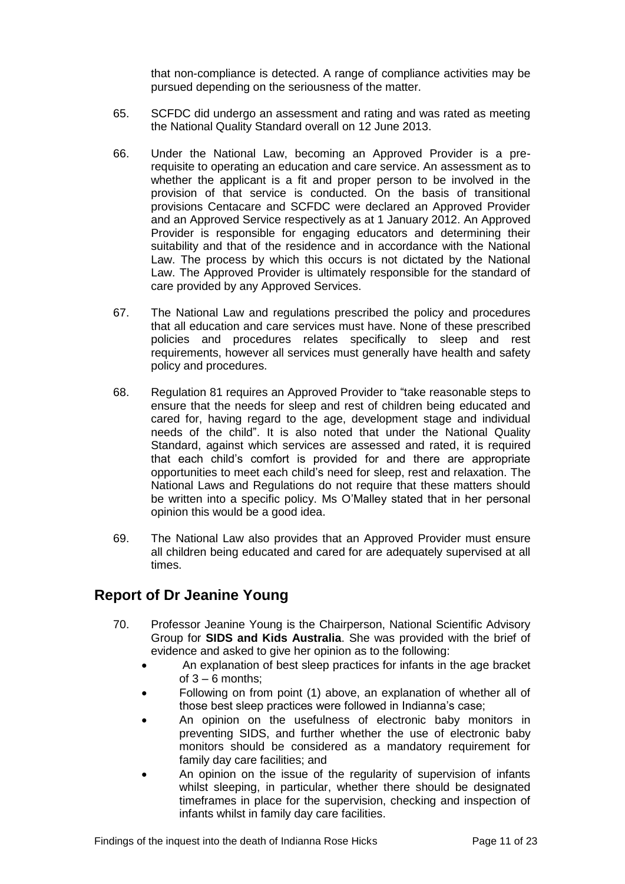that non-compliance is detected. A range of compliance activities may be pursued depending on the seriousness of the matter.

- 65. SCFDC did undergo an assessment and rating and was rated as meeting the National Quality Standard overall on 12 June 2013.
- 66. Under the National Law, becoming an Approved Provider is a prerequisite to operating an education and care service. An assessment as to whether the applicant is a fit and proper person to be involved in the provision of that service is conducted. On the basis of transitional provisions Centacare and SCFDC were declared an Approved Provider and an Approved Service respectively as at 1 January 2012. An Approved Provider is responsible for engaging educators and determining their suitability and that of the residence and in accordance with the National Law. The process by which this occurs is not dictated by the National Law. The Approved Provider is ultimately responsible for the standard of care provided by any Approved Services.
- 67. The National Law and regulations prescribed the policy and procedures that all education and care services must have. None of these prescribed policies and procedures relates specifically to sleep and rest requirements, however all services must generally have health and safety policy and procedures.
- 68. Regulation 81 requires an Approved Provider to "take reasonable steps to ensure that the needs for sleep and rest of children being educated and cared for, having regard to the age, development stage and individual needs of the child". It is also noted that under the National Quality Standard, against which services are assessed and rated, it is required that each child's comfort is provided for and there are appropriate opportunities to meet each child's need for sleep, rest and relaxation. The National Laws and Regulations do not require that these matters should be written into a specific policy. Ms O'Malley stated that in her personal opinion this would be a good idea.
- 69. The National Law also provides that an Approved Provider must ensure all children being educated and cared for are adequately supervised at all times.

#### <span id="page-10-0"></span>**Report of Dr Jeanine Young**

- 70. Professor Jeanine Young is the Chairperson, National Scientific Advisory Group for **SIDS and Kids Australia**. She was provided with the brief of evidence and asked to give her opinion as to the following:
	- An explanation of best sleep practices for infants in the age bracket of  $3 - 6$  months:
	- Following on from point (1) above, an explanation of whether all of those best sleep practices were followed in Indianna's case;
	- An opinion on the usefulness of electronic baby monitors in preventing SIDS, and further whether the use of electronic baby monitors should be considered as a mandatory requirement for family day care facilities; and
	- An opinion on the issue of the regularity of supervision of infants whilst sleeping, in particular, whether there should be designated timeframes in place for the supervision, checking and inspection of infants whilst in family day care facilities.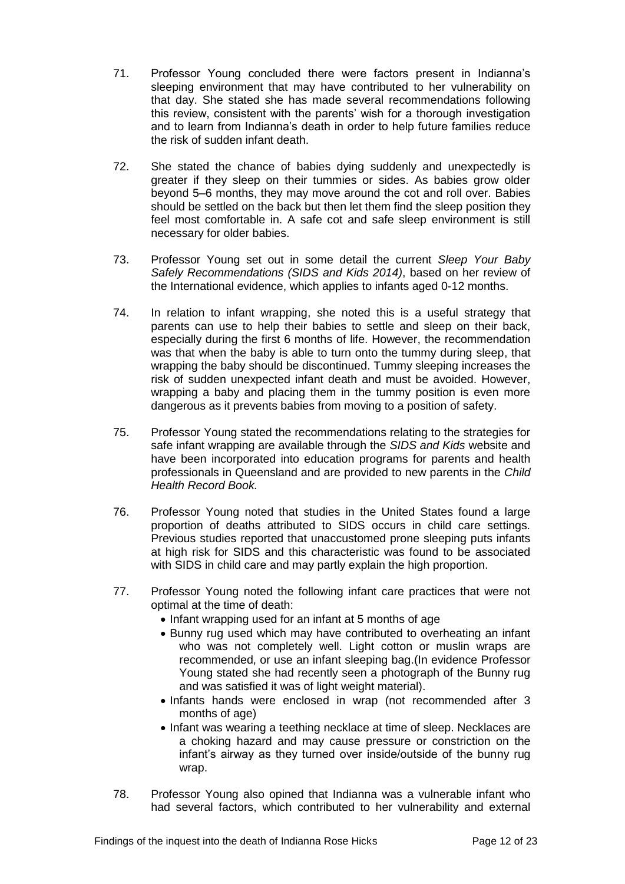- 71. Professor Young concluded there were factors present in Indianna's sleeping environment that may have contributed to her vulnerability on that day. She stated she has made several recommendations following this review, consistent with the parents' wish for a thorough investigation and to learn from Indianna's death in order to help future families reduce the risk of sudden infant death.
- 72. She stated the chance of babies dying suddenly and unexpectedly is greater if they sleep on their tummies or sides. As babies grow older beyond 5–6 months, they may move around the cot and roll over. Babies should be settled on the back but then let them find the sleep position they feel most comfortable in. A safe cot and safe sleep environment is still necessary for older babies.
- 73. Professor Young set out in some detail the current *Sleep Your Baby Safely Recommendations (SIDS and Kids 2014)*, based on her review of the International evidence, which applies to infants aged 0-12 months.
- 74. In relation to infant wrapping, she noted this is a useful strategy that parents can use to help their babies to settle and sleep on their back, especially during the first 6 months of life. However, the recommendation was that when the baby is able to turn onto the tummy during sleep, that wrapping the baby should be discontinued. Tummy sleeping increases the risk of sudden unexpected infant death and must be avoided. However, wrapping a baby and placing them in the tummy position is even more dangerous as it prevents babies from moving to a position of safety.
- 75. Professor Young stated the recommendations relating to the strategies for safe infant wrapping are available through the *SIDS and Kids* website and have been incorporated into education programs for parents and health professionals in Queensland and are provided to new parents in the *Child Health Record Book.*
- 76. Professor Young noted that studies in the United States found a large proportion of deaths attributed to SIDS occurs in child care settings. Previous studies reported that unaccustomed prone sleeping puts infants at high risk for SIDS and this characteristic was found to be associated with SIDS in child care and may partly explain the high proportion.
- 77. Professor Young noted the following infant care practices that were not optimal at the time of death:
	- Infant wrapping used for an infant at 5 months of age
	- Bunny rug used which may have contributed to overheating an infant who was not completely well. Light cotton or muslin wraps are recommended, or use an infant sleeping bag.(In evidence Professor Young stated she had recently seen a photograph of the Bunny rug and was satisfied it was of light weight material).
	- Infants hands were enclosed in wrap (not recommended after 3 months of age)
	- Infant was wearing a teething necklace at time of sleep. Necklaces are a choking hazard and may cause pressure or constriction on the infant's airway as they turned over inside/outside of the bunny rug wrap.
- 78. Professor Young also opined that Indianna was a vulnerable infant who had several factors, which contributed to her vulnerability and external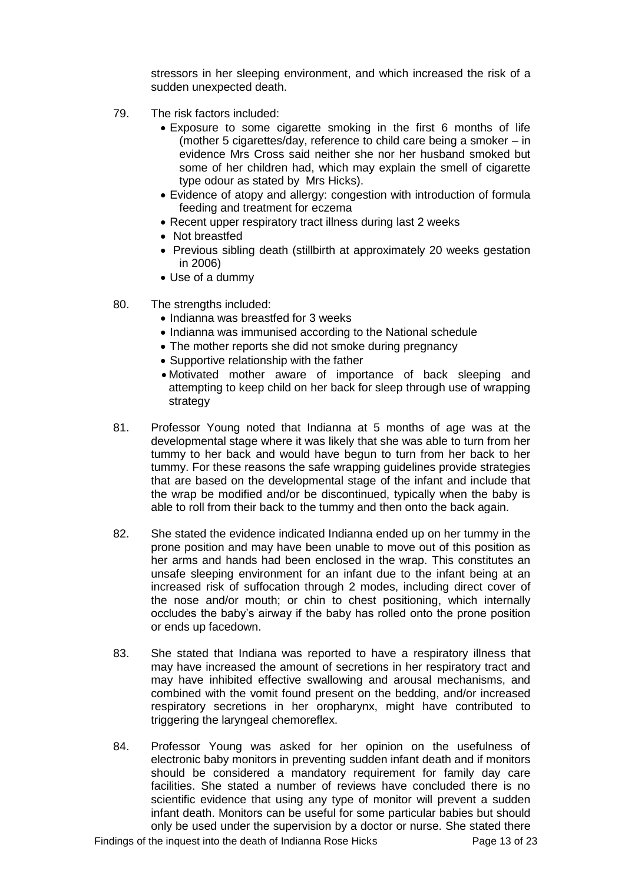stressors in her sleeping environment, and which increased the risk of a sudden unexpected death.

- 79. The risk factors included:
	- Exposure to some cigarette smoking in the first 6 months of life (mother 5 cigarettes/day, reference to child care being a smoker – in evidence Mrs Cross said neither she nor her husband smoked but some of her children had, which may explain the smell of cigarette type odour as stated by Mrs Hicks).
	- Evidence of atopy and allergy: congestion with introduction of formula feeding and treatment for eczema
	- Recent upper respiratory tract illness during last 2 weeks
	- Not breastfed
	- Previous sibling death (stillbirth at approximately 20 weeks gestation in 2006)
	- Use of a dummy
- 80. The strengths included:
	- Indianna was breastfed for 3 weeks
	- Indianna was immunised according to the National schedule
	- The mother reports she did not smoke during pregnancy
	- Supportive relationship with the father
	- Motivated mother aware of importance of back sleeping and attempting to keep child on her back for sleep through use of wrapping strategy
- 81. Professor Young noted that Indianna at 5 months of age was at the developmental stage where it was likely that she was able to turn from her tummy to her back and would have begun to turn from her back to her tummy. For these reasons the safe wrapping guidelines provide strategies that are based on the developmental stage of the infant and include that the wrap be modified and/or be discontinued, typically when the baby is able to roll from their back to the tummy and then onto the back again.
- 82. She stated the evidence indicated Indianna ended up on her tummy in the prone position and may have been unable to move out of this position as her arms and hands had been enclosed in the wrap. This constitutes an unsafe sleeping environment for an infant due to the infant being at an increased risk of suffocation through 2 modes, including direct cover of the nose and/or mouth; or chin to chest positioning, which internally occludes the baby's airway if the baby has rolled onto the prone position or ends up facedown.
- 83. She stated that Indiana was reported to have a respiratory illness that may have increased the amount of secretions in her respiratory tract and may have inhibited effective swallowing and arousal mechanisms, and combined with the vomit found present on the bedding, and/or increased respiratory secretions in her oropharynx, might have contributed to triggering the laryngeal chemoreflex.
- 84. Professor Young was asked for her opinion on the usefulness of electronic baby monitors in preventing sudden infant death and if monitors should be considered a mandatory requirement for family day care facilities. She stated a number of reviews have concluded there is no scientific evidence that using any type of monitor will prevent a sudden infant death. Monitors can be useful for some particular babies but should only be used under the supervision by a doctor or nurse. She stated there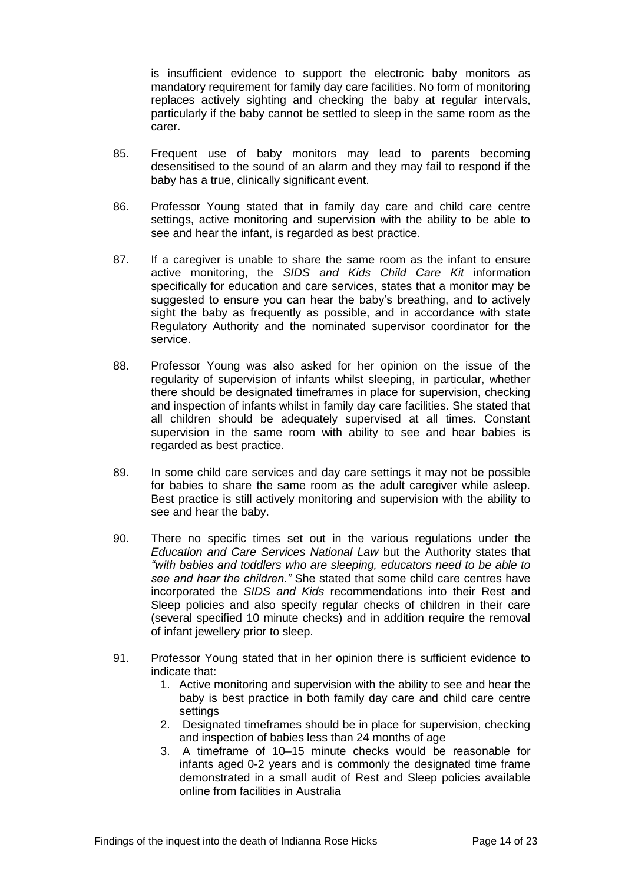is insufficient evidence to support the electronic baby monitors as mandatory requirement for family day care facilities. No form of monitoring replaces actively sighting and checking the baby at regular intervals, particularly if the baby cannot be settled to sleep in the same room as the carer.

- 85. Frequent use of baby monitors may lead to parents becoming desensitised to the sound of an alarm and they may fail to respond if the baby has a true, clinically significant event.
- 86. Professor Young stated that in family day care and child care centre settings, active monitoring and supervision with the ability to be able to see and hear the infant, is regarded as best practice.
- 87. If a caregiver is unable to share the same room as the infant to ensure active monitoring, the *SIDS and Kids Child Care Kit* information specifically for education and care services, states that a monitor may be suggested to ensure you can hear the baby's breathing, and to actively sight the baby as frequently as possible, and in accordance with state Regulatory Authority and the nominated supervisor coordinator for the service.
- 88. Professor Young was also asked for her opinion on the issue of the regularity of supervision of infants whilst sleeping, in particular, whether there should be designated timeframes in place for supervision, checking and inspection of infants whilst in family day care facilities. She stated that all children should be adequately supervised at all times. Constant supervision in the same room with ability to see and hear babies is regarded as best practice.
- 89. In some child care services and day care settings it may not be possible for babies to share the same room as the adult caregiver while asleep. Best practice is still actively monitoring and supervision with the ability to see and hear the baby.
- 90. There no specific times set out in the various regulations under the *Education and Care Services National Law* but the Authority states that *"with babies and toddlers who are sleeping, educators need to be able to see and hear the children."* She stated that some child care centres have incorporated the *SIDS and Kids* recommendations into their Rest and Sleep policies and also specify regular checks of children in their care (several specified 10 minute checks) and in addition require the removal of infant jewellery prior to sleep.
- 91. Professor Young stated that in her opinion there is sufficient evidence to indicate that:
	- 1. Active monitoring and supervision with the ability to see and hear the baby is best practice in both family day care and child care centre settings
	- 2. Designated timeframes should be in place for supervision, checking and inspection of babies less than 24 months of age
	- 3. A timeframe of 10–15 minute checks would be reasonable for infants aged 0-2 years and is commonly the designated time frame demonstrated in a small audit of Rest and Sleep policies available online from facilities in Australia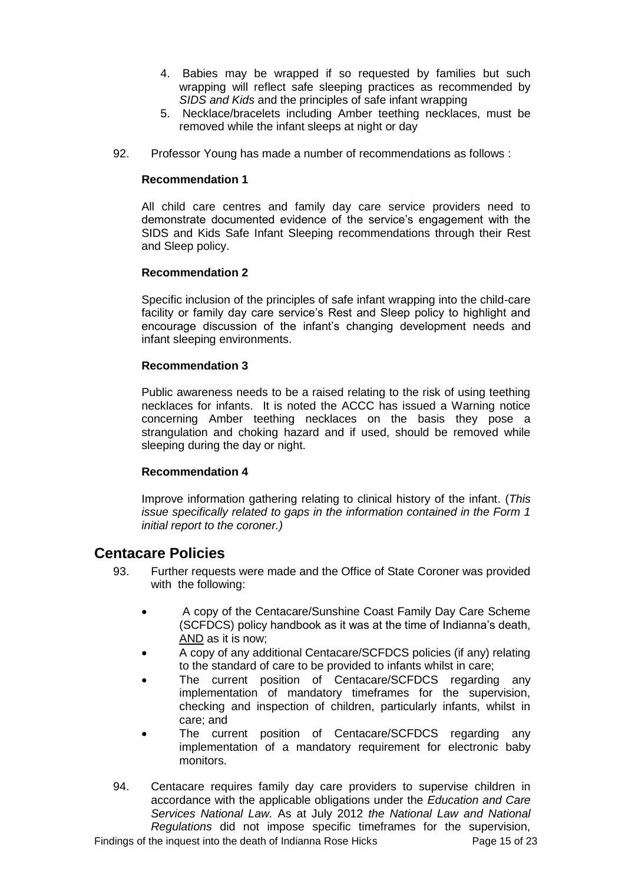- 4. Babies may be wrapped if so requested by families but such wrapping will reflect safe sleeping practices as recommended by *SIDS and Kids* and the principles of safe infant wrapping
- 5. Necklace/bracelets including Amber teething necklaces, must be removed while the infant sleeps at night or day
- 92. Professor Young has made a number of recommendations as follows :

#### **Recommendation 1**

All child care centres and family day care service providers need to demonstrate documented evidence of the service's engagement with the SIDS and Kids Safe Infant Sleeping recommendations through their Rest and Sleep policy.

#### **Recommendation 2**

Specific inclusion of the principles of safe infant wrapping into the child-care facility or family day care service's Rest and Sleep policy to highlight and encourage discussion of the infant's changing development needs and infant sleeping environments.

#### **Recommendation 3**

Public awareness needs to be a raised relating to the risk of using teething necklaces for infants. It is noted the ACCC has issued a Warning notice concerning Amber teething necklaces on the basis they pose a strangulation and choking hazard and if used, should be removed while sleeping during the day or night.

#### **Recommendation 4**

Improve information gathering relating to clinical history of the infant. (*This issue specifically related to gaps in the information contained in the Form 1 initial report to the coroner.)*

#### <span id="page-14-0"></span>**Centacare Policies**

- 93. Further requests were made and the Office of State Coroner was provided with the following:
	- A copy of the Centacare/Sunshine Coast Family Day Care Scheme (SCFDCS) policy handbook as it was at the time of Indianna's death, AND as it is now;
	- A copy of any additional Centacare/SCFDCS policies (if any) relating to the standard of care to be provided to infants whilst in care;
	- The current position of Centacare/SCFDCS regarding any implementation of mandatory timeframes for the supervision, checking and inspection of children, particularly infants, whilst in care; and
	- The current position of Centacare/SCFDCS regarding any implementation of a mandatory requirement for electronic baby monitors.
- 94. Centacare requires family day care providers to supervise children in accordance with the applicable obligations under the *Education and Care Services National Law.* As at July 2012 *the National Law and National Regulations* did not impose specific timeframes for the supervision,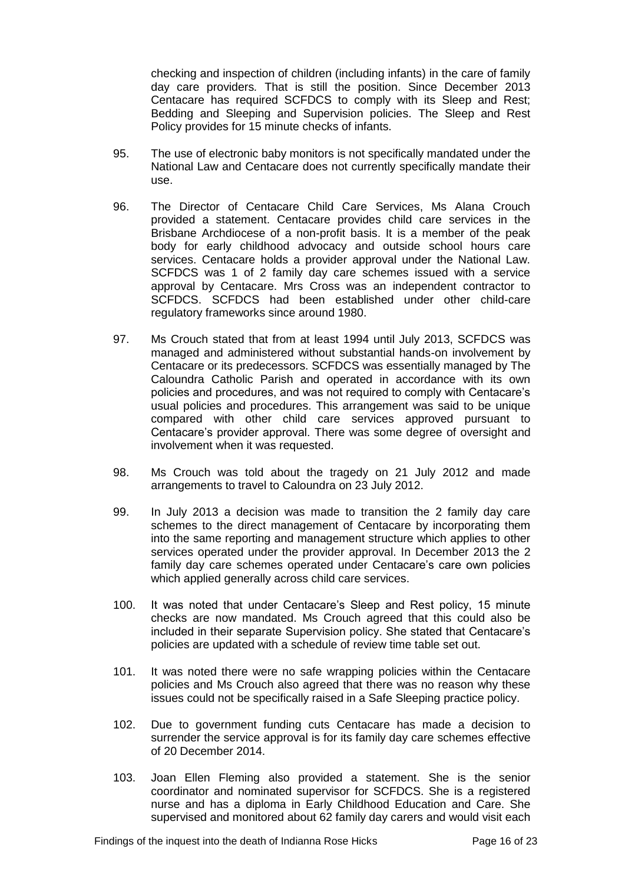checking and inspection of children (including infants) in the care of family day care providers*.* That is still the position. Since December 2013 Centacare has required SCFDCS to comply with its Sleep and Rest; Bedding and Sleeping and Supervision policies. The Sleep and Rest Policy provides for 15 minute checks of infants.

- 95. The use of electronic baby monitors is not specifically mandated under the National Law and Centacare does not currently specifically mandate their use.
- 96. The Director of Centacare Child Care Services, Ms Alana Crouch provided a statement. Centacare provides child care services in the Brisbane Archdiocese of a non-profit basis. It is a member of the peak body for early childhood advocacy and outside school hours care services. Centacare holds a provider approval under the National Law. SCFDCS was 1 of 2 family day care schemes issued with a service approval by Centacare. Mrs Cross was an independent contractor to SCFDCS. SCFDCS had been established under other child-care regulatory frameworks since around 1980.
- 97. Ms Crouch stated that from at least 1994 until July 2013, SCFDCS was managed and administered without substantial hands-on involvement by Centacare or its predecessors. SCFDCS was essentially managed by The Caloundra Catholic Parish and operated in accordance with its own policies and procedures, and was not required to comply with Centacare's usual policies and procedures. This arrangement was said to be unique compared with other child care services approved pursuant to Centacare's provider approval. There was some degree of oversight and involvement when it was requested.
- 98. Ms Crouch was told about the tragedy on 21 July 2012 and made arrangements to travel to Caloundra on 23 July 2012.
- 99. In July 2013 a decision was made to transition the 2 family day care schemes to the direct management of Centacare by incorporating them into the same reporting and management structure which applies to other services operated under the provider approval. In December 2013 the 2 family day care schemes operated under Centacare's care own policies which applied generally across child care services.
- 100. It was noted that under Centacare's Sleep and Rest policy, 15 minute checks are now mandated. Ms Crouch agreed that this could also be included in their separate Supervision policy. She stated that Centacare's policies are updated with a schedule of review time table set out.
- 101. It was noted there were no safe wrapping policies within the Centacare policies and Ms Crouch also agreed that there was no reason why these issues could not be specifically raised in a Safe Sleeping practice policy.
- 102. Due to government funding cuts Centacare has made a decision to surrender the service approval is for its family day care schemes effective of 20 December 2014.
- 103. Joan Ellen Fleming also provided a statement. She is the senior coordinator and nominated supervisor for SCFDCS. She is a registered nurse and has a diploma in Early Childhood Education and Care. She supervised and monitored about 62 family day carers and would visit each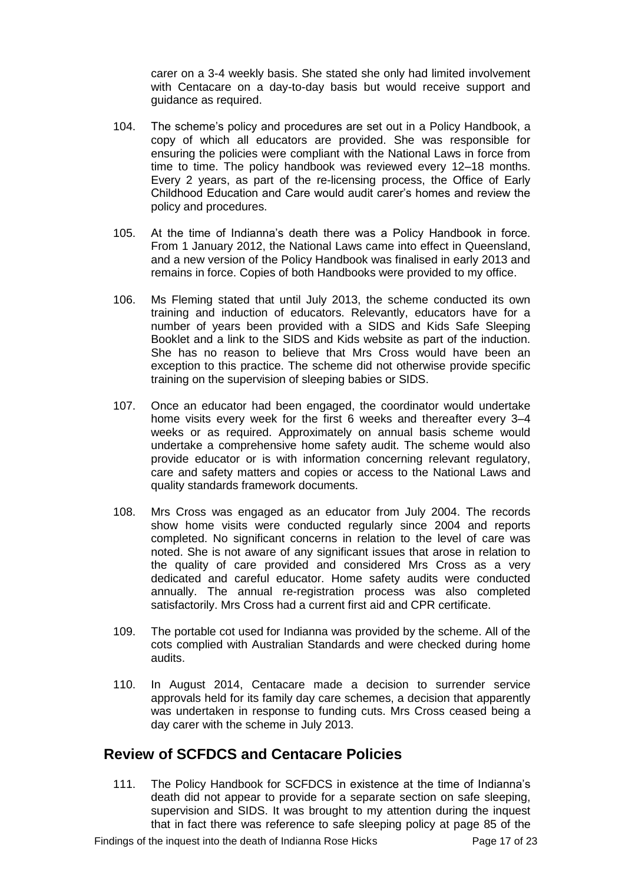carer on a 3-4 weekly basis. She stated she only had limited involvement with Centacare on a day-to-day basis but would receive support and guidance as required.

- 104. The scheme's policy and procedures are set out in a Policy Handbook, a copy of which all educators are provided. She was responsible for ensuring the policies were compliant with the National Laws in force from time to time. The policy handbook was reviewed every 12–18 months. Every 2 years, as part of the re-licensing process, the Office of Early Childhood Education and Care would audit carer's homes and review the policy and procedures.
- 105. At the time of Indianna's death there was a Policy Handbook in force. From 1 January 2012, the National Laws came into effect in Queensland, and a new version of the Policy Handbook was finalised in early 2013 and remains in force. Copies of both Handbooks were provided to my office.
- 106. Ms Fleming stated that until July 2013, the scheme conducted its own training and induction of educators. Relevantly, educators have for a number of years been provided with a SIDS and Kids Safe Sleeping Booklet and a link to the SIDS and Kids website as part of the induction. She has no reason to believe that Mrs Cross would have been an exception to this practice. The scheme did not otherwise provide specific training on the supervision of sleeping babies or SIDS.
- 107. Once an educator had been engaged, the coordinator would undertake home visits every week for the first 6 weeks and thereafter every 3–4 weeks or as required. Approximately on annual basis scheme would undertake a comprehensive home safety audit. The scheme would also provide educator or is with information concerning relevant regulatory, care and safety matters and copies or access to the National Laws and quality standards framework documents.
- 108. Mrs Cross was engaged as an educator from July 2004. The records show home visits were conducted regularly since 2004 and reports completed. No significant concerns in relation to the level of care was noted. She is not aware of any significant issues that arose in relation to the quality of care provided and considered Mrs Cross as a very dedicated and careful educator. Home safety audits were conducted annually. The annual re-registration process was also completed satisfactorily. Mrs Cross had a current first aid and CPR certificate.
- 109. The portable cot used for Indianna was provided by the scheme. All of the cots complied with Australian Standards and were checked during home audits.
- 110. In August 2014, Centacare made a decision to surrender service approvals held for its family day care schemes, a decision that apparently was undertaken in response to funding cuts. Mrs Cross ceased being a day carer with the scheme in July 2013.

#### <span id="page-16-0"></span>**Review of SCFDCS and Centacare Policies**

111. The Policy Handbook for SCFDCS in existence at the time of Indianna's death did not appear to provide for a separate section on safe sleeping, supervision and SIDS. It was brought to my attention during the inquest that in fact there was reference to safe sleeping policy at page 85 of the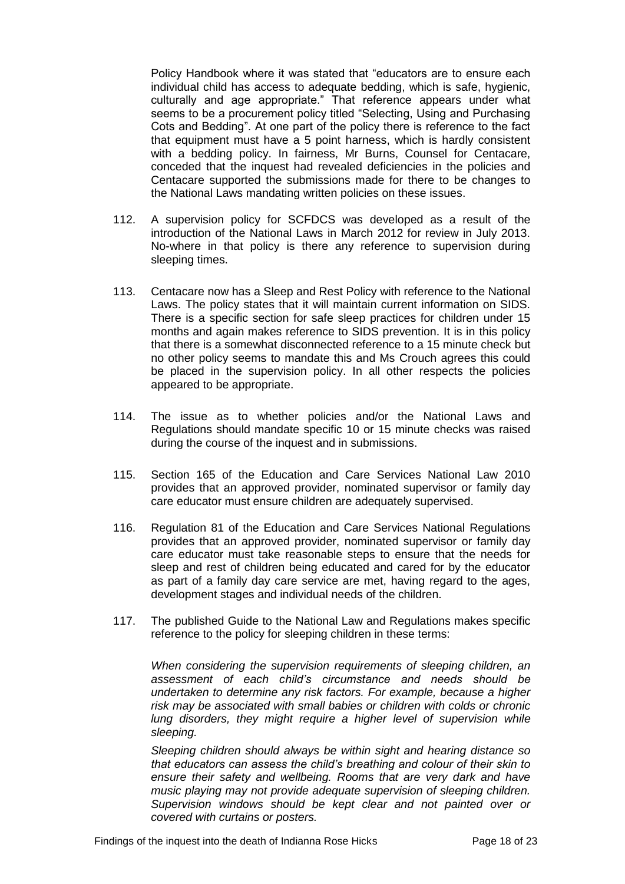Policy Handbook where it was stated that "educators are to ensure each individual child has access to adequate bedding, which is safe, hygienic, culturally and age appropriate." That reference appears under what seems to be a procurement policy titled "Selecting, Using and Purchasing Cots and Bedding". At one part of the policy there is reference to the fact that equipment must have a 5 point harness, which is hardly consistent with a bedding policy. In fairness, Mr Burns, Counsel for Centacare, conceded that the inquest had revealed deficiencies in the policies and Centacare supported the submissions made for there to be changes to the National Laws mandating written policies on these issues.

- 112. A supervision policy for SCFDCS was developed as a result of the introduction of the National Laws in March 2012 for review in July 2013. No-where in that policy is there any reference to supervision during sleeping times.
- 113. Centacare now has a Sleep and Rest Policy with reference to the National Laws. The policy states that it will maintain current information on SIDS. There is a specific section for safe sleep practices for children under 15 months and again makes reference to SIDS prevention. It is in this policy that there is a somewhat disconnected reference to a 15 minute check but no other policy seems to mandate this and Ms Crouch agrees this could be placed in the supervision policy. In all other respects the policies appeared to be appropriate.
- 114. The issue as to whether policies and/or the National Laws and Regulations should mandate specific 10 or 15 minute checks was raised during the course of the inquest and in submissions.
- 115. Section 165 of the Education and Care Services National Law 2010 provides that an approved provider, nominated supervisor or family day care educator must ensure children are adequately supervised.
- 116. Regulation 81 of the Education and Care Services National Regulations provides that an approved provider, nominated supervisor or family day care educator must take reasonable steps to ensure that the needs for sleep and rest of children being educated and cared for by the educator as part of a family day care service are met, having regard to the ages, development stages and individual needs of the children.
- 117. The published Guide to the National Law and Regulations makes specific reference to the policy for sleeping children in these terms:

*When considering the supervision requirements of sleeping children, an assessment of each child's circumstance and needs should be undertaken to determine any risk factors. For example, because a higher risk may be associated with small babies or children with colds or chronic lung disorders, they might require a higher level of supervision while sleeping.* 

*Sleeping children should always be within sight and hearing distance so that educators can assess the child's breathing and colour of their skin to ensure their safety and wellbeing. Rooms that are very dark and have music playing may not provide adequate supervision of sleeping children. Supervision windows should be kept clear and not painted over or covered with curtains or posters.*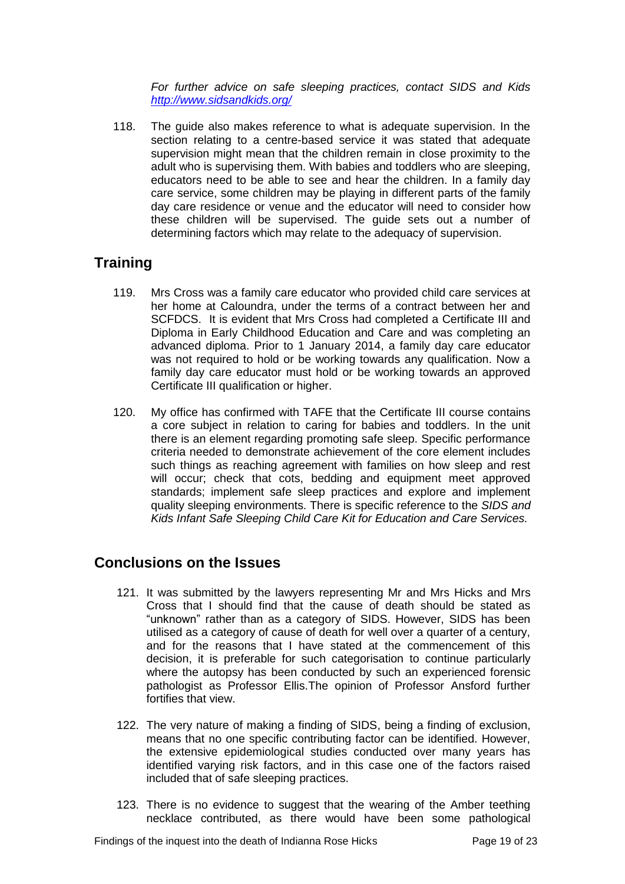*For further advice on safe sleeping practices, contact SIDS and Kids <http://www.sidsandkids.org/>*

118. The guide also makes reference to what is adequate supervision. In the section relating to a centre-based service it was stated that adequate supervision might mean that the children remain in close proximity to the adult who is supervising them. With babies and toddlers who are sleeping, educators need to be able to see and hear the children. In a family day care service, some children may be playing in different parts of the family day care residence or venue and the educator will need to consider how these children will be supervised. The guide sets out a number of determining factors which may relate to the adequacy of supervision.

## <span id="page-18-0"></span>**Training**

- 119. Mrs Cross was a family care educator who provided child care services at her home at Caloundra, under the terms of a contract between her and SCFDCS. It is evident that Mrs Cross had completed a Certificate III and Diploma in Early Childhood Education and Care and was completing an advanced diploma. Prior to 1 January 2014, a family day care educator was not required to hold or be working towards any qualification. Now a family day care educator must hold or be working towards an approved Certificate III qualification or higher.
- 120. My office has confirmed with TAFE that the Certificate III course contains a core subject in relation to caring for babies and toddlers. In the unit there is an element regarding promoting safe sleep. Specific performance criteria needed to demonstrate achievement of the core element includes such things as reaching agreement with families on how sleep and rest will occur; check that cots, bedding and equipment meet approved standards; implement safe sleep practices and explore and implement quality sleeping environments. There is specific reference to the *SIDS and Kids Infant Safe Sleeping Child Care Kit for Education and Care Services.*

## <span id="page-18-1"></span>**Conclusions on the Issues**

- 121. It was submitted by the lawyers representing Mr and Mrs Hicks and Mrs Cross that I should find that the cause of death should be stated as "unknown" rather than as a category of SIDS. However, SIDS has been utilised as a category of cause of death for well over a quarter of a century, and for the reasons that I have stated at the commencement of this decision, it is preferable for such categorisation to continue particularly where the autopsy has been conducted by such an experienced forensic pathologist as Professor Ellis.The opinion of Professor Ansford further fortifies that view.
- 122. The very nature of making a finding of SIDS, being a finding of exclusion, means that no one specific contributing factor can be identified. However, the extensive epidemiological studies conducted over many years has identified varying risk factors, and in this case one of the factors raised included that of safe sleeping practices.
- 123. There is no evidence to suggest that the wearing of the Amber teething necklace contributed, as there would have been some pathological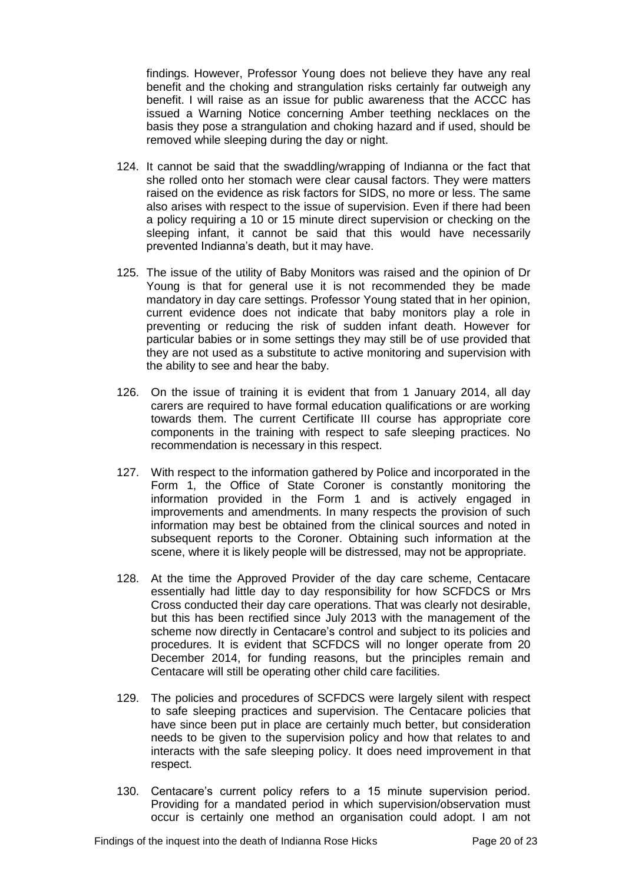findings. However, Professor Young does not believe they have any real benefit and the choking and strangulation risks certainly far outweigh any benefit. I will raise as an issue for public awareness that the ACCC has issued a Warning Notice concerning Amber teething necklaces on the basis they pose a strangulation and choking hazard and if used, should be removed while sleeping during the day or night.

- 124. It cannot be said that the swaddling/wrapping of Indianna or the fact that she rolled onto her stomach were clear causal factors. They were matters raised on the evidence as risk factors for SIDS, no more or less. The same also arises with respect to the issue of supervision. Even if there had been a policy requiring a 10 or 15 minute direct supervision or checking on the sleeping infant, it cannot be said that this would have necessarily prevented Indianna's death, but it may have.
- 125. The issue of the utility of Baby Monitors was raised and the opinion of Dr Young is that for general use it is not recommended they be made mandatory in day care settings. Professor Young stated that in her opinion, current evidence does not indicate that baby monitors play a role in preventing or reducing the risk of sudden infant death. However for particular babies or in some settings they may still be of use provided that they are not used as a substitute to active monitoring and supervision with the ability to see and hear the baby.
- 126. On the issue of training it is evident that from 1 January 2014, all day carers are required to have formal education qualifications or are working towards them. The current Certificate III course has appropriate core components in the training with respect to safe sleeping practices. No recommendation is necessary in this respect.
- 127. With respect to the information gathered by Police and incorporated in the Form 1, the Office of State Coroner is constantly monitoring the information provided in the Form 1 and is actively engaged in improvements and amendments. In many respects the provision of such information may best be obtained from the clinical sources and noted in subsequent reports to the Coroner. Obtaining such information at the scene, where it is likely people will be distressed, may not be appropriate.
- 128. At the time the Approved Provider of the day care scheme, Centacare essentially had little day to day responsibility for how SCFDCS or Mrs Cross conducted their day care operations. That was clearly not desirable, but this has been rectified since July 2013 with the management of the scheme now directly in Centacare's control and subject to its policies and procedures. It is evident that SCFDCS will no longer operate from 20 December 2014, for funding reasons, but the principles remain and Centacare will still be operating other child care facilities.
- 129. The policies and procedures of SCFDCS were largely silent with respect to safe sleeping practices and supervision. The Centacare policies that have since been put in place are certainly much better, but consideration needs to be given to the supervision policy and how that relates to and interacts with the safe sleeping policy. It does need improvement in that respect.
- 130. Centacare's current policy refers to a 15 minute supervision period. Providing for a mandated period in which supervision/observation must occur is certainly one method an organisation could adopt. I am not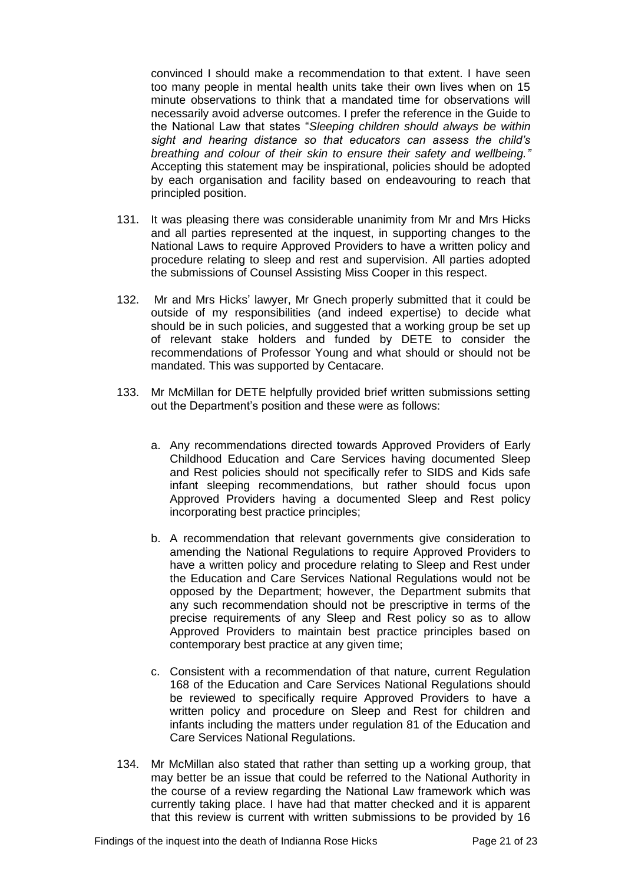convinced I should make a recommendation to that extent. I have seen too many people in mental health units take their own lives when on 15 minute observations to think that a mandated time for observations will necessarily avoid adverse outcomes. I prefer the reference in the Guide to the National Law that states "*Sleeping children should always be within sight and hearing distance so that educators can assess the child's breathing and colour of their skin to ensure their safety and wellbeing."* Accepting this statement may be inspirational, policies should be adopted by each organisation and facility based on endeavouring to reach that principled position.

- 131. It was pleasing there was considerable unanimity from Mr and Mrs Hicks and all parties represented at the inquest, in supporting changes to the National Laws to require Approved Providers to have a written policy and procedure relating to sleep and rest and supervision. All parties adopted the submissions of Counsel Assisting Miss Cooper in this respect.
- 132. Mr and Mrs Hicks' lawyer, Mr Gnech properly submitted that it could be outside of my responsibilities (and indeed expertise) to decide what should be in such policies, and suggested that a working group be set up of relevant stake holders and funded by DETE to consider the recommendations of Professor Young and what should or should not be mandated. This was supported by Centacare.
- 133. Mr McMillan for DETE helpfully provided brief written submissions setting out the Department's position and these were as follows:
	- a. Any recommendations directed towards Approved Providers of Early Childhood Education and Care Services having documented Sleep and Rest policies should not specifically refer to SIDS and Kids safe infant sleeping recommendations, but rather should focus upon Approved Providers having a documented Sleep and Rest policy incorporating best practice principles;
	- b. A recommendation that relevant governments give consideration to amending the National Regulations to require Approved Providers to have a written policy and procedure relating to Sleep and Rest under the Education and Care Services National Regulations would not be opposed by the Department; however, the Department submits that any such recommendation should not be prescriptive in terms of the precise requirements of any Sleep and Rest policy so as to allow Approved Providers to maintain best practice principles based on contemporary best practice at any given time;
	- c. Consistent with a recommendation of that nature, current Regulation 168 of the Education and Care Services National Regulations should be reviewed to specifically require Approved Providers to have a written policy and procedure on Sleep and Rest for children and infants including the matters under regulation 81 of the Education and Care Services National Regulations.
- 134. Mr McMillan also stated that rather than setting up a working group, that may better be an issue that could be referred to the National Authority in the course of a review regarding the National Law framework which was currently taking place. I have had that matter checked and it is apparent that this review is current with written submissions to be provided by 16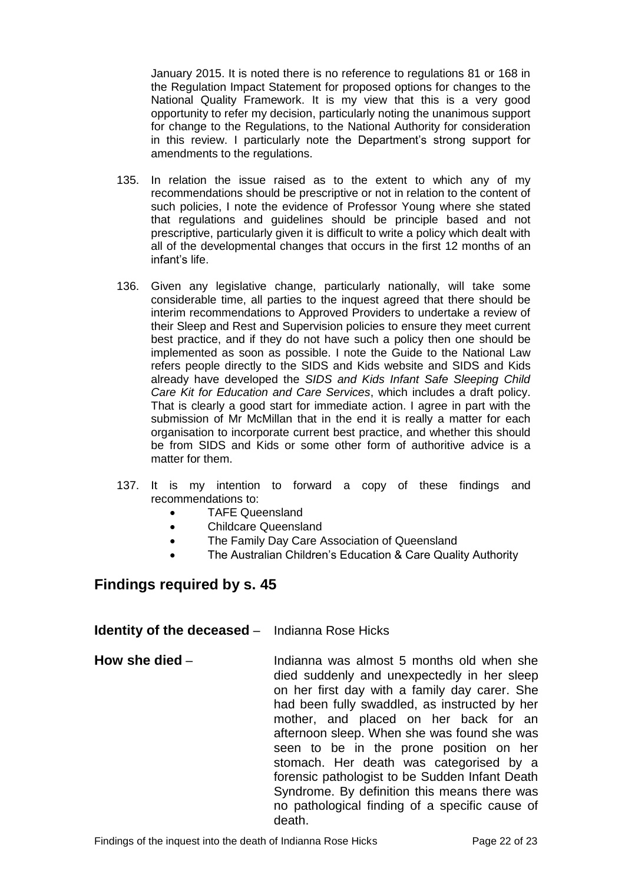January 2015. It is noted there is no reference to regulations 81 or 168 in the Regulation Impact Statement for proposed options for changes to the National Quality Framework. It is my view that this is a very good opportunity to refer my decision, particularly noting the unanimous support for change to the Regulations, to the National Authority for consideration in this review. I particularly note the Department's strong support for amendments to the regulations.

- 135. In relation the issue raised as to the extent to which any of my recommendations should be prescriptive or not in relation to the content of such policies, I note the evidence of Professor Young where she stated that regulations and guidelines should be principle based and not prescriptive, particularly given it is difficult to write a policy which dealt with all of the developmental changes that occurs in the first 12 months of an infant's life.
- 136. Given any legislative change, particularly nationally, will take some considerable time, all parties to the inquest agreed that there should be interim recommendations to Approved Providers to undertake a review of their Sleep and Rest and Supervision policies to ensure they meet current best practice, and if they do not have such a policy then one should be implemented as soon as possible. I note the Guide to the National Law refers people directly to the SIDS and Kids website and SIDS and Kids already have developed the *SIDS and Kids Infant Safe Sleeping Child Care Kit for Education and Care Services*, which includes a draft policy. That is clearly a good start for immediate action. I agree in part with the submission of Mr McMillan that in the end it is really a matter for each organisation to incorporate current best practice, and whether this should be from SIDS and Kids or some other form of authoritive advice is a matter for them.
- 137. It is my intention to forward a copy of these findings and recommendations to:
	- TAFE Queensland
	- Childcare Queensland
	- The Family Day Care Association of Queensland
	- The Australian Children's Education & Care Quality Authority

#### <span id="page-21-0"></span>**Findings required by s. 45**

#### <span id="page-21-1"></span>**Identity of the deceased** – Indianna Rose Hicks

<span id="page-21-2"></span>**How she died** – **Indianna was almost 5 months old when she** died suddenly and unexpectedly in her sleep on her first day with a family day carer. She had been fully swaddled, as instructed by her mother, and placed on her back for an afternoon sleep. When she was found she was seen to be in the prone position on her stomach. Her death was categorised by a forensic pathologist to be Sudden Infant Death Syndrome. By definition this means there was no pathological finding of a specific cause of death.